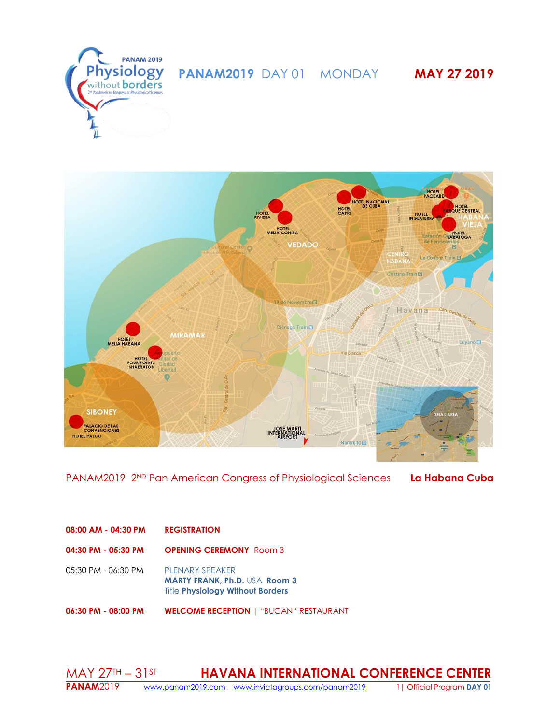



PANAM2019 2ND Pan American Congress of Physiological Sciences **La Habana Cuba**

# **08:00 AM - 04:30 PM REGISTRATION**

**04:30 PM - 05:30 PM OPENING CEREMONY** Room 3

05:30 PM - 06:30 PM PLENARY SPEAKER **MARTY FRANK, Ph.D.** USA **Room 3** Title **Physiology Without Borders**

**06:30 PM - 08:00 PM WELCOME RECEPTION |** "BUCAN" RESTAURANT

#### MAY 27TH – 31ST **HAVANA INTERNATIONAL CONFERENCE CENTER PANAM**2019 [www.panam2019.com](http://www.panam2019.com/) [www.invictagroups.com/panam2019](http://www.invictagroups.com/panam2019) 1| Official Program **DAY 01**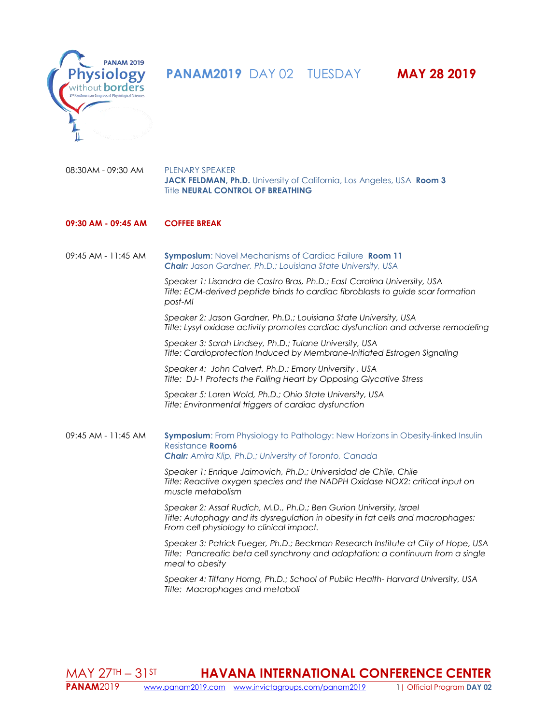

 **PANAM2019** DAY 02 TUESDAY **MAY 28 2019** 



08:30AM - 09:30 AM PLENARY SPEAKER **JACK FELDMAN, Ph.D.** University of California, Los Angeles, USA **Room 3** Title **NEURAL CONTROL OF BREATHING**

# **09:30 AM - 09:45 AM COFFEE BREAK**

09:45 AM - 11:45 AM **Symposium**: Novel Mechanisms of Cardiac Failure **Room 11** *Chair: Jason Gardner, Ph.D.; Louisiana State University, USA*

> *Speaker 1: Lisandra de Castro Bras, Ph.D.; East Carolina University, USA Title: ECM-derived peptide binds to cardiac fibroblasts to guide scar formation post-MI*

*Speaker 2: Jason Gardner, Ph.D.; Louisiana State University, USA Title: Lysyl oxidase activity promotes cardiac dysfunction and adverse remodeling*

*Speaker 3: Sarah Lindsey, Ph.D.; Tulane University, USA Title: Cardioprotection Induced by Membrane-Initiated Estrogen Signaling*

*Speaker 4: John Calvert, Ph.D.; Emory University , USA Title: DJ-1 Protects the Failing Heart by Opposing Glycative Stress*

*Speaker 5: Loren Wold, Ph.D.; Ohio State University, USA Title: Environmental triggers of cardiac dysfunction*

### 09:45 AM - 11:45 AM **Symposium**: From Physiology to Pathology: New Horizons in Obesity-linked Insulin Resistance **Room6** *Chair: Amira Klip, Ph.D.; University of Toronto, Canada*

*Speaker 1: Enrique Jaimovich, Ph.D.; Universidad de Chile, Chile Title: Reactive oxygen species and the NADPH Oxidase NOX2: critical input on muscle metabolism*

*Speaker 2: Assaf Rudich, M.D., Ph.D.; Ben Gurion University, Israel Title: Autophagy and its dysregulation in obesity in fat cells and macrophages: From cell physiology to clinical impact.*

*Speaker 3: Patrick Fueger, Ph.D.; Beckman Research Institute at City of Hope, USA Title: Pancreatic beta cell synchrony and adaptation: a continuum from a single meal to obesity*

*Speaker 4: Tiffany Horng, Ph.D.; School of Public Health- Harvard University, USA Title: Macrophages and metaboli*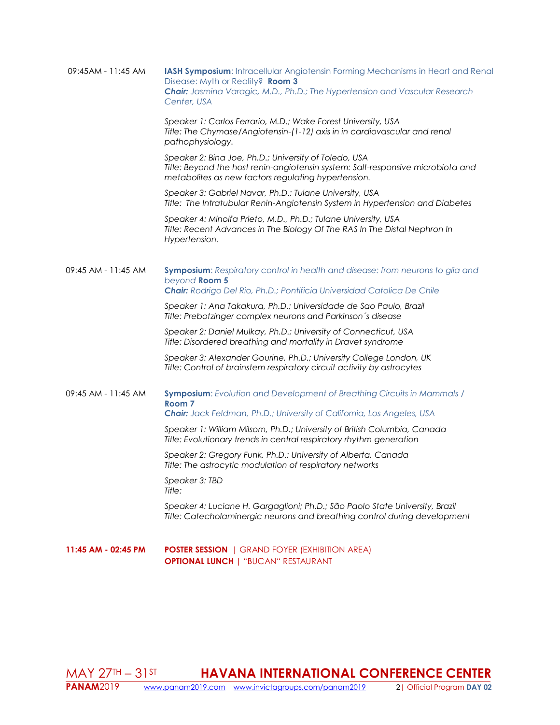| 09:45AM - 11:45 AM  | <b>IASH Symposium:</b> Intracellular Angiotensin Forming Mechanisms in Heart and Renal<br>Disease: Myth or Reality? Room 3<br>Chair: Jasmina Varagic, M.D., Ph.D.; The Hypertension and Vascular Research<br>Center, USA |
|---------------------|--------------------------------------------------------------------------------------------------------------------------------------------------------------------------------------------------------------------------|
|                     | Speaker 1: Carlos Ferrario, M.D.; Wake Forest University, USA<br>Title: The Chymase/Angiotensin-(1-12) axis in in cardiovascular and renal<br>pathophysiology.                                                           |
|                     | Speaker 2: Bina Joe, Ph.D.; University of Toledo, USA<br>Title: Beyond the host renin-angiotensin system: Salt-responsive microbiota and<br>metabolites as new factors regulating hypertension.                          |
|                     | Speaker 3: Gabriel Navar, Ph.D.; Tulane University, USA<br>Title: The Intratubular Renin-Angiotensin System in Hypertension and Diabetes                                                                                 |
|                     | Speaker 4: Minolfa Prieto, M.D., Ph.D.; Tulane University, USA<br>Title: Recent Advances in The Biology Of The RAS In The Distal Nephron In<br>Hypertension.                                                             |
| 09:45 AM - 11:45 AM | Symposium: Respiratory control in health and disease: from neurons to glia and<br>beyond Room 5<br>Chair: Rodrigo Del Rio, Ph.D.; Pontificia Universidad Catolica De Chile                                               |
|                     | Speaker 1: Ana Takakura, Ph.D.; Universidade de Sao Paulo, Brazil<br>Title: Prebotzinger complex neurons and Parkinson's disease                                                                                         |
|                     | Speaker 2: Daniel Mulkay, Ph.D.; University of Connecticut, USA<br>Title: Disordered breathing and mortality in Dravet syndrome                                                                                          |
|                     | Speaker 3: Alexander Gourine, Ph.D.; University College London, UK<br>Title: Control of brainstem respiratory circuit activity by astrocytes                                                                             |
| 09:45 AM - 11:45 AM | Symposium: Evolution and Development of Breathing Circuits in Mammals /<br>Room <sub>7</sub><br>Chair: Jack Feldman, Ph.D.; University of California, Los Angeles, USA                                                   |
|                     | Speaker 1: William Milsom, Ph.D.; University of British Columbia, Canada<br>Title: Evolutionary trends in central respiratory rhythm generation                                                                          |
|                     | Speaker 2: Gregory Funk, Ph.D.; University of Alberta, Canada<br>Title: The astrocytic modulation of respiratory networks                                                                                                |
|                     | Speaker 3: TBD<br>Title:                                                                                                                                                                                                 |
|                     | Speaker 4: Luciane H. Gargaglioni; Ph.D.; São Paolo State University, Brazil<br>Title: Catecholaminergic neurons and breathing control during development                                                                |
| 11:45 AM - 02:45 PM | <b>POSTER SESSION</b>   GRAND FOYER (EXHIBITION AREA)<br><b>OPTIONAL LUNCH   "BUCAN" RESTAURANT</b>                                                                                                                      |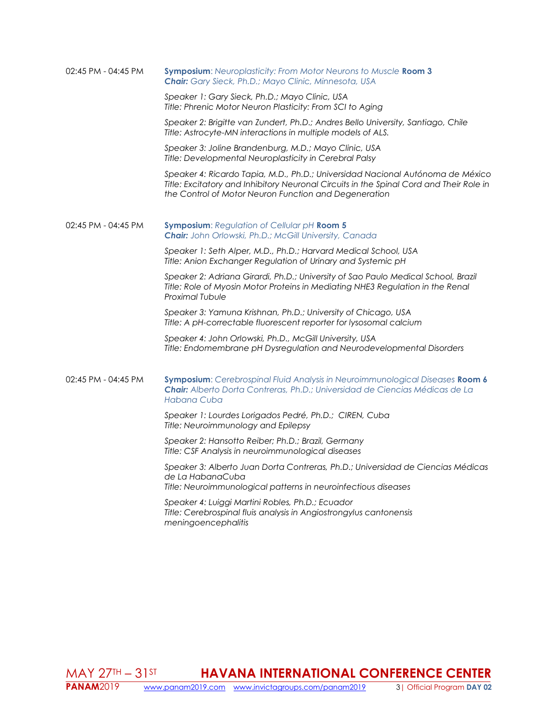| 02:45 PM - 04:45 PM | Symposium: Neuroplasticity: From Motor Neurons to Muscle Room 3<br>Chair: Gary Sieck, Ph.D.; Mayo Clinic, Minnesota, USA                                                                                                           |
|---------------------|------------------------------------------------------------------------------------------------------------------------------------------------------------------------------------------------------------------------------------|
|                     | Speaker 1: Gary Sieck, Ph.D.; Mayo Clinic, USA<br>Title: Phrenic Motor Neuron Plasticity: From SCI to Aging                                                                                                                        |
|                     | Speaker 2: Brigitte van Zundert, Ph.D.; Andres Bello University, Santiago, Chile<br>Title: Astrocyte-MN interactions in multiple models of ALS.                                                                                    |
|                     | Speaker 3: Joline Brandenburg, M.D.; Mayo Clinic, USA<br>Title: Developmental Neuroplasticity in Cerebral Palsy                                                                                                                    |
|                     | Speaker 4: Ricardo Tapia, M.D., Ph.D.; Universidad Nacional Autónoma de México<br>Title: Excitatory and Inhibitory Neuronal Circuits in the Spinal Cord and Their Role in<br>the Control of Motor Neuron Function and Degeneration |
| 02:45 PM - 04:45 PM | Symposium: Regulation of Cellular pH Room 5<br><b>Chair:</b> John Orlowski, Ph.D.; McGill University, Canada                                                                                                                       |
|                     | Speaker 1: Seth Alper, M.D., Ph.D.; Harvard Medical School, USA<br>Title: Anion Exchanger Regulation of Urinary and Systemic pH                                                                                                    |
|                     | Speaker 2: Adriana Girardi, Ph.D.; University of Sao Paulo Medical School, Brazil<br>Title: Role of Myosin Motor Proteins in Mediating NHE3 Regulation in the Renal<br><b>Proximal Tubule</b>                                      |
|                     | Speaker 3: Yamuna Krishnan, Ph.D.; University of Chicago, USA<br>Title: A pH-correctable fluorescent reporter for lysosomal calcium                                                                                                |
|                     | Speaker 4: John Orlowski, Ph.D., McGill University, USA<br>Title: Endomembrane pH Dysregulation and Neurodevelopmental Disorders                                                                                                   |
| 02:45 PM - 04:45 PM | Symposium: Cerebrospinal Fluid Analysis in Neuroimmunological Diseases Room 6<br>Chair: Alberto Dorta Contreras, Ph.D.; Universidad de Ciencias Médicas de La<br>Habana Cuba                                                       |
|                     | Speaker 1: Lourdes Lorigados Pedré, Ph.D.; CIREN, Cuba<br>Title: Neuroimmunology and Epilepsy                                                                                                                                      |
|                     | Speaker 2: Hansotto Reiber; Ph.D.; Brazil, Germany<br>Title: CSF Analysis in neuroimmunological diseases                                                                                                                           |
|                     | Speaker 3: Alberto Juan Dorta Contreras, Ph.D.; Universidad de Ciencias Médicas<br>de La HabanaCuba<br>Title: Neuroimmunological patterns in neuroinfectious diseases                                                              |
|                     | Speaker 4: Luiggi Martini Robles, Ph.D.; Ecuador<br>Title: Cerebrospinal fluis analysis in Angiostrongylus cantonensis<br>meningoencephalitis                                                                                      |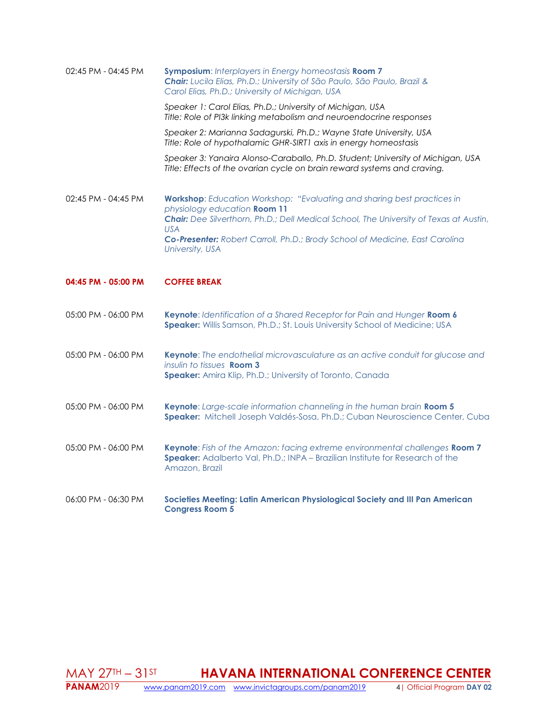| 02:45 PM - 04:45 PM | Symposium: Interplayers in Energy homeostasis Room 7<br>Chair: Lucila Elias, Ph.D.; University of São Paulo, São Paulo, Brazil &<br>Carol Elias, Ph.D.; University of Michigan, USA<br>Speaker 1: Carol Elias, Ph.D.; University of Michigan, USA<br>Title: Role of PI3k linking metabolism and neuroendocrine responses<br>Speaker 2: Marianna Sadagurski, Ph.D.; Wayne State University, USA |
|---------------------|------------------------------------------------------------------------------------------------------------------------------------------------------------------------------------------------------------------------------------------------------------------------------------------------------------------------------------------------------------------------------------------------|
|                     | Title: Role of hypothalamic GHR-SIRT1 axis in energy homeostasis                                                                                                                                                                                                                                                                                                                               |
|                     | Speaker 3: Yanaira Alonso-Caraballo, Ph.D. Student; University of Michigan, USA<br>Title: Effects of the ovarian cycle on brain reward systems and craving.                                                                                                                                                                                                                                    |
| 02:45 PM - 04:45 PM | Workshop: Education Workshop: "Evaluating and sharing best practices in<br>physiology education Room 11<br>Chair: Dee Silverthorn, Ph.D.; Dell Medical School, The University of Texas at Austin,                                                                                                                                                                                              |
|                     | <b>USA</b><br>Co-Presenter: Robert Carroll, Ph.D.; Brody School of Medicine, East Carolina<br>University, USA                                                                                                                                                                                                                                                                                  |
| 04:45 PM - 05:00 PM | <b>COFFEE BREAK</b>                                                                                                                                                                                                                                                                                                                                                                            |
|                     |                                                                                                                                                                                                                                                                                                                                                                                                |
| 05:00 PM - 06:00 PM | Keynote: Identification of a Shared Receptor for Pain and Hunger Room 6<br>Speaker: Willis Samson, Ph.D.; St. Louis University School of Medicine; USA                                                                                                                                                                                                                                         |
| 05:00 PM - 06:00 PM | Keynote: The endothelial microvasculature as an active conduit for glucose and<br>insulin to tissues <b>Room 3</b><br>Speaker: Amira Klip, Ph.D.; University of Toronto, Canada                                                                                                                                                                                                                |
| 05:00 PM - 06:00 PM | Keynote: Large-scale information channeling in the human brain Room 5<br>Speaker: Mitchell Joseph Valdés-Sosa, Ph.D.; Cuban Neuroscience Center, Cuba                                                                                                                                                                                                                                          |
| 05:00 PM - 06:00 PM | Keynote: Fish of the Amazon: facing extreme environmental challenges Room 7<br>Speaker: Adalberto Val, Ph.D.; INPA - Brazilian Institute for Research of the<br>Amazon, Brazil                                                                                                                                                                                                                 |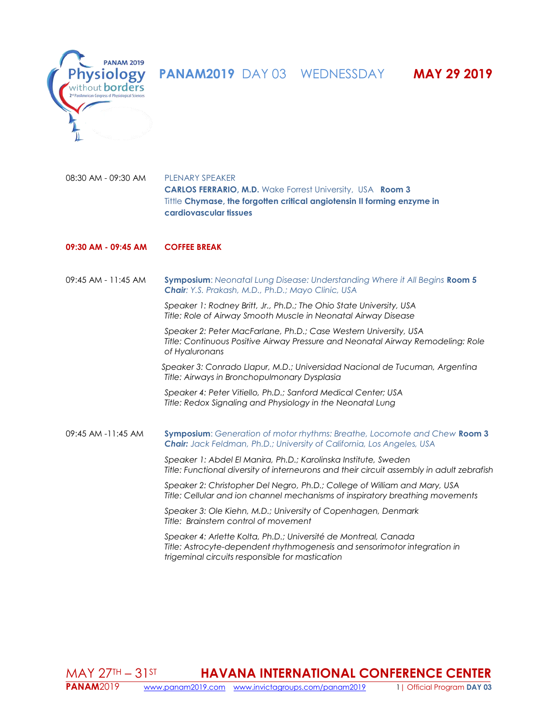**PANAM2019** DAY 03 WEDNESSDAY **MAY 29 2019** 



08:30 AM - 09:30 AM PLENARY SPEAKER **CARLOS FERRARIO, M.D.** Wake Forrest University, USA **Room 3** Tittle **Chymase, the forgotten critical angiotensin II forming enzyme in cardiovascular tissues**

# **09:30 AM - 09:45 AM COFFEE BREAK**

09:45 AM - 11:45 AM **Symposium**: *Neonatal Lung Disease: Understanding Where it All Begins* **Room 5** *Chair: Y.S. Prakash, M.D., Ph.D.; Mayo Clinic, USA*

> *Speaker 1: Rodney Britt, Jr., Ph.D.; The Ohio State University, USA Title: Role of Airway Smooth Muscle in Neonatal Airway Disease*

*Speaker 2: Peter MacFarlane, Ph.D.; Case Western University, USA Title: Continuous Positive Airway Pressure and Neonatal Airway Remodeling: Role of Hyaluronans*

 *Speaker 3: Conrado Llapur, M.D.; Universidad Nacional de Tucuman, Argentina Title: Airways in Bronchopulmonary Dysplasia*

*Speaker 4: Peter Vitiello, Ph.D.; Sanford Medical Center; USA Title: Redox Signaling and Physiology in the Neonatal Lung*

09:45 AM -11:45 AM **Symposium**: *Generation of motor rhythms: Breathe, Locomote and Chew* **Room 3** *Chair: Jack Feldman, Ph.D.; University of California, Los Angeles, USA*

> *Speaker 1: Abdel El Manira, Ph.D.; Karolinska Institute, Sweden Title: Functional diversity of interneurons and their circuit assembly in adult zebrafish*

*Speaker 2: Christopher Del Negro, Ph.D.; College of William and Mary, USA Title: Cellular and ion channel mechanisms of inspiratory breathing movements*

*Speaker 3: Ole Kiehn, M.D.; University of Copenhagen, Denmark Title: Brainstem control of movement*

*Speaker 4: Arlette Kolta, Ph.D.; Université de Montreal, Canada Title: Astrocyte-dependent rhythmogenesis and sensorimotor integration in trigeminal circuits responsible for mastication*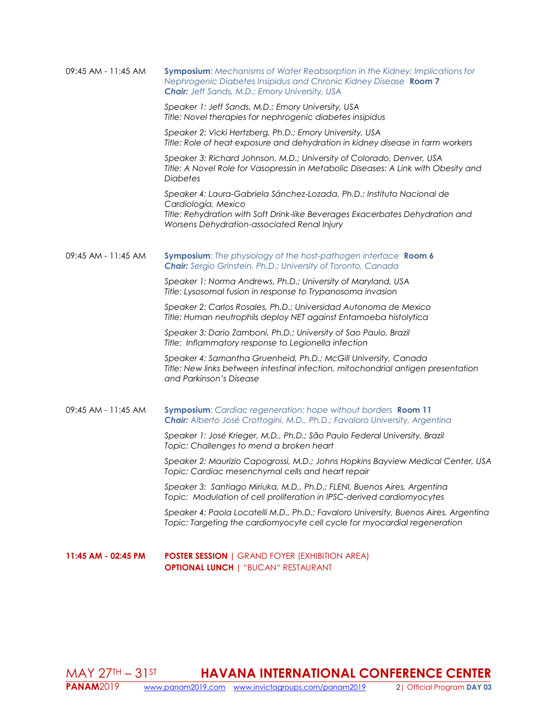| 09:45 AM - 11:45 AM | <b>Symposium:</b> Mechanisms of Water Reabsorption in the Kidney: Implications for<br>Nephrogenic Diabetes Insipidus and Chronic Kidney Disease Room 7<br><b>Chair:</b> Jeff Sands, M.D.; Emory University, USA               |
|---------------------|-------------------------------------------------------------------------------------------------------------------------------------------------------------------------------------------------------------------------------|
|                     | Speaker 1: Jeff Sands, M.D.; Emory University, USA<br>Title: Novel therapies for nephrogenic diabetes insipidus                                                                                                               |
|                     | Speaker 2: Vicki Hertzberg, Ph.D.; Emory University, USA<br>Title: Role of heat exposure and dehydration in kidney disease in farm workers                                                                                    |
|                     | Speaker 3: Richard Johnson, M.D.; University of Colorado, Denver, USA<br>Title: A Novel Role for Vasopressin in Metabolic Diseases: A Link with Obesity and<br><b>Diabetes</b>                                                |
|                     | Speaker 4: Laura-Gabriela Sánchez-Lozada, Ph.D.; Instituto Nacional de<br>Cardiología, Mexico<br>Title: Rehydration with Soft Drink-like Beverages Exacerbates Dehydration and<br>Worsens Dehydration-associated Renal Injury |
| 09:45 AM - 11:45 AM | Symposium: The physiology of the host-pathogen interface Room 6<br><b>Chair:</b> Sergio Grinstein, Ph.D.; University of Toronto, Canada                                                                                       |
|                     | Speaker 1: Norma Andrews, Ph.D.; University of Maryland, USA<br>Title: Lysosomal fusion in response to Trypanosoma invasion                                                                                                   |
|                     | Speaker 2: Carlos Rosales, Ph.D.; Universidad Autonoma de Mexico<br>Title: Human neutrophils deploy NET against Entamoeba histolytica                                                                                         |
|                     | Speaker 3: Dario Zamboni, Ph.D.; University of Sao Paulo, Brazil<br>Title: Inflammatory response to Legionella infection                                                                                                      |
|                     | Speaker 4: Samantha Gruenheid, Ph.D.; McGill University, Canada<br>Title: New links between intestinal infection, mitochondrial antigen presentation<br>and Parkinson's Disease                                               |
| 09:45 AM - 11:45 AM | Symposium: Cardiac regeneration: hope without borders Room 11<br>Chair: Alberto José Crottogini, M.D., Ph.D.; Favaloro University, Argentina                                                                                  |
|                     | Speaker 1: José Krieger, M.D., Ph.D.; São Paulo Federal University, Brazil<br>Topic: Challenges to mend a broken heart                                                                                                        |
|                     | Speaker 2: Maurizio Capogrossi, M.D.; Johns Hopkins Bayview Medical Center, USA<br>Topic: Cardiac mesenchymal cells and heart repair                                                                                          |
|                     | Speaker 3: Santiago Miriuka, M.D., Ph.D.; FLENI, Buenos Aires, Argentina<br>Topic: Modulation of cell proliferation in IPSC-derived cardiomyocytes                                                                            |
|                     | Speaker 4: Paola Locatelli M.D., Ph.D.; Favaloro University, Buenos Aires, Argentina<br>Topic: Targeting the cardiomyocyte cell cycle for myocardial regeneration                                                             |
| 11:45 AM - 02:45 PM | <b>POSTER SESSION</b>   GRAND FOYER (EXHIBITION AREA)<br><b>OPTIONAL LUNCH   "BUCAN" RESTAURANT</b>                                                                                                                           |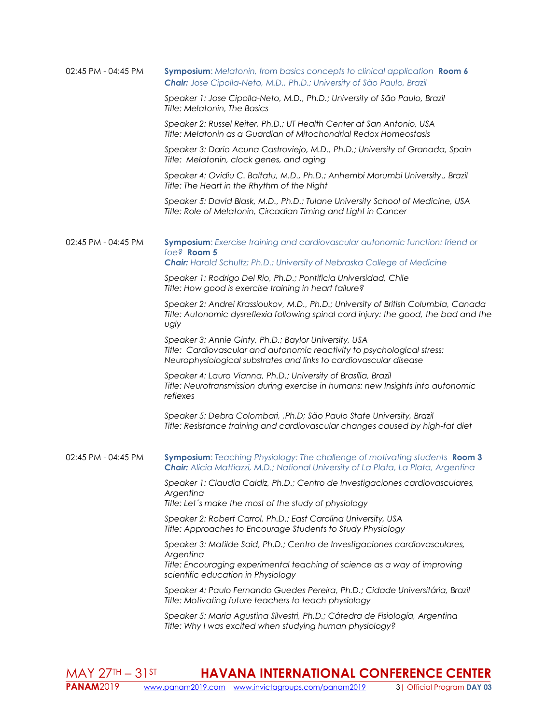| 02:45 PM - 04:45 PM | <b>Symposium:</b> Melatonin, from basics concepts to clinical application <b>Room 6</b><br>Chair: Jose Cipolla-Neto, M.D., Ph.D.; University of São Paulo, Brazil                                           |
|---------------------|-------------------------------------------------------------------------------------------------------------------------------------------------------------------------------------------------------------|
|                     | Speaker 1: Jose Cipolla-Neto, M.D., Ph.D.; University of São Paulo, Brazil<br>Title: Melatonin, The Basics                                                                                                  |
|                     | Speaker 2: Russel Reiter, Ph.D.; UT Health Center at San Antonio, USA<br>Title: Melatonin as a Guardian of Mitochondrial Redox Homeostasis                                                                  |
|                     | Speaker 3: Dario Acuna Castroviejo, M.D., Ph.D.; University of Granada, Spain<br>Title: Melatonin, clock genes, and aging                                                                                   |
|                     | Speaker 4: Ovidiu C. Baltatu, M.D., Ph.D.; Anhembi Morumbi University., Brazil<br>Title: The Heart in the Rhythm of the Night                                                                               |
|                     | Speaker 5: David Blask, M.D., Ph.D.; Tulane University School of Medicine, USA<br>Title: Role of Melatonin, Circadian Timing and Light in Cancer                                                            |
| 02:45 PM - 04:45 PM | Symposium: Exercise training and cardiovascular autonomic function: friend or<br>foe? Room 5                                                                                                                |
|                     | Chair: Harold Schultz; Ph.D.; University of Nebraska College of Medicine                                                                                                                                    |
|                     | Speaker 1: Rodrigo Del Rio, Ph.D.; Pontificia Universidad, Chile<br>Title: How good is exercise training in heart failure?                                                                                  |
|                     | Speaker 2: Andrei Krassioukov, M.D., Ph.D.; University of British Columbia, Canada<br>Title: Autonomic dysreflexia following spinal cord injury: the good, the bad and the<br>ugly                          |
|                     | Speaker 3: Annie Ginty, Ph.D.; Baylor University, USA<br>Title: Cardiovascular and autonomic reactivity to psychological stress:<br>Neurophysiological substrates and links to cardiovascular disease       |
|                     | Speaker 4: Lauro Vianna, Ph.D.; University of Brasília, Brazil<br>Title: Neurotransmission during exercise in humans: new Insights into autonomic<br>reflexes                                               |
|                     | Speaker 5: Debra Colombari, , Ph.D; São Paulo State University, Brazil<br>Title: Resistance training and cardiovascular changes caused by high-fat diet                                                     |
| 02:45 PM - 04:45 PM | <b>Symposium:</b> Teaching Physiology: The challenge of motivating students <b>Room 3</b><br>Chair: Alicia Mattiazzi, M.D.; National University of La Plata, La Plata, Argentina                            |
|                     | Speaker 1: Claudia Caldiz, Ph.D.; Centro de Investigaciones cardiovasculares,<br>Argentina<br>Title: Let's make the most of the study of physiology                                                         |
|                     |                                                                                                                                                                                                             |
|                     | Speaker 2: Robert Carrol, Ph.D.; East Carolina University, USA<br>Title: Approaches to Encourage Students to Study Physiology                                                                               |
|                     | Speaker 3: Matilde Said, Ph.D.; Centro de Investigaciones cardiovasculares,<br>Argentina<br>Title: Encouraging experimental teaching of science as a way of improving<br>scientific education in Physiology |
|                     | Speaker 4: Paulo Fernando Guedes Pereira, Ph.D.; Cidade Universitária, Brazil<br>Title: Motivating future teachers to teach physiology                                                                      |
|                     | Speaker 5: Maria Agustina Silvestri, Ph.D.; Cátedra de Fisiología, Argentina<br>Title: Why I was excited when studying human physiology?                                                                    |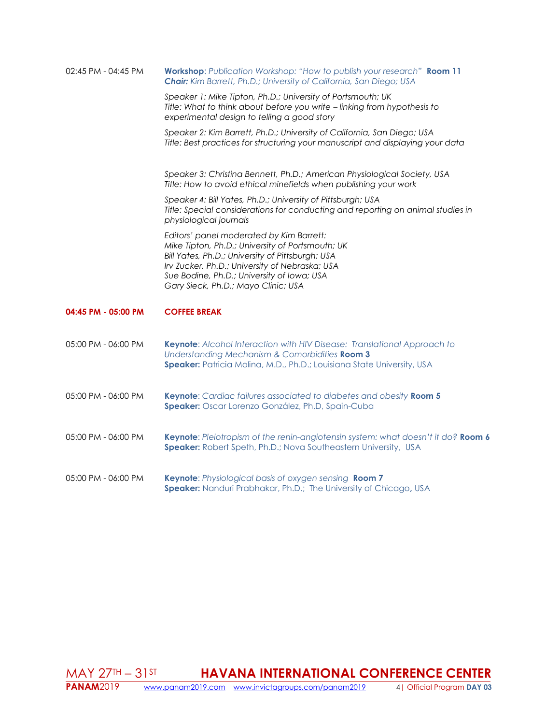| 02:45 PM - 04:45 PM | Workshop: Publication Workshop: "How to publish your research" Room 11<br><b>Chair:</b> Kim Barrett, Ph.D.; University of California, San Diego; USA                                                                                                                                    |
|---------------------|-----------------------------------------------------------------------------------------------------------------------------------------------------------------------------------------------------------------------------------------------------------------------------------------|
|                     | Speaker 1: Mike Tipton, Ph.D.; University of Portsmouth; UK<br>Title: What to think about before you write - linking from hypothesis to<br>experimental design to telling a good story                                                                                                  |
|                     | Speaker 2: Kim Barrett, Ph.D.; University of California, San Diego; USA<br>Title: Best practices for structuring your manuscript and displaying your data                                                                                                                               |
|                     | Speaker 3: Christina Bennett, Ph.D.; American Physiological Society, USA<br>Title: How to avoid ethical minefields when publishing your work                                                                                                                                            |
|                     | Speaker 4: Bill Yates, Ph.D.; University of Pittsburgh; USA<br>Title: Special considerations for conducting and reporting on animal studies in<br>physiological journals                                                                                                                |
|                     | Editors' panel moderated by Kim Barrett:<br>Mike Tipton, Ph.D.; University of Portsmouth; UK<br>Bill Yates, Ph.D.; University of Pittsburgh; USA<br>Irv Zucker, Ph.D.; University of Nebraska; USA<br>Sue Bodine, Ph.D.; University of Iowa; USA<br>Gary Sieck, Ph.D.; Mayo Clinic; USA |
| 04:45 PM - 05:00 PM | <b>COFFEE BREAK</b>                                                                                                                                                                                                                                                                     |
| 05:00 PM - 06:00 PM | Keynote: Alcohol Interaction with HIV Disease: Translational Approach to<br>Understanding Mechanism & Comorbidities Room 3<br>Speaker: Patricia Molina, M.D., Ph.D.; Louisiana State University, USA                                                                                    |
| 05:00 PM - 06:00 PM | Keynote: Cardiac failures associated to diabetes and obesity Room 5<br>Speaker: Oscar Lorenzo González, Ph.D, Spain-Cuba                                                                                                                                                                |
| 05:00 PM - 06:00 PM | Keynote: Pleiotropism of the renin-angiotensin system: what doesn't it do? Room 6<br>Speaker: Robert Speth, Ph.D.; Nova Southeastern University, USA                                                                                                                                    |
| 05:00 PM - 06:00 PM | Keynote: Physiological basis of oxygen sensing Room 7<br>Speaker: Nanduri Prabhakar, Ph.D.; The University of Chicago, USA                                                                                                                                                              |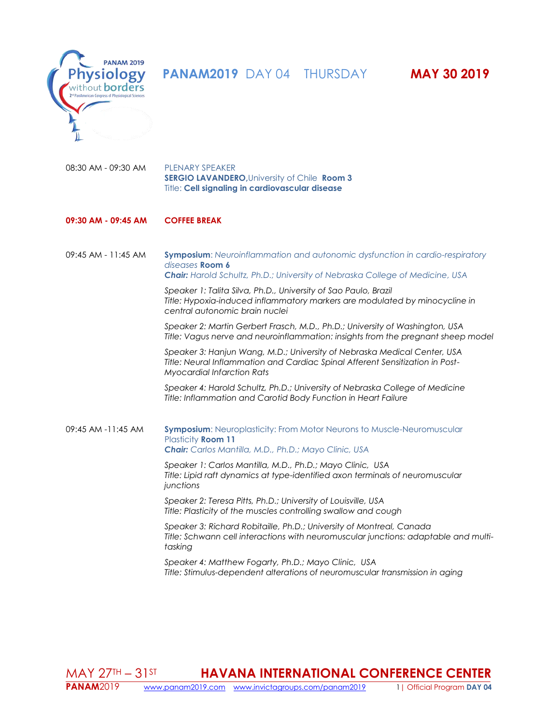



08:30 AM - 09:30 AM PLENARY SPEAKER **SERGIO LAVANDERO,**University of Chile **Room 3** Title: **Cell signaling in cardiovascular disease**

# **09:30 AM - 09:45 AM COFFEE BREAK**

09:45 AM - 11:45 AM **Symposium**: *Neuroinflammation and autonomic dysfunction in cardio-respiratory diseases* **Room 6** *Chair: Harold Schultz, Ph.D.; University of Nebraska College of Medicine, USA*

> *Speaker 1: Talita Silva, Ph.D., University of Sao Paulo, Brazil Title: Hypoxia-induced inflammatory markers are modulated by minocycline in central autonomic brain nuclei*

*Speaker 2: Martin Gerbert Frasch, M.D., Ph.D.; University of Washington, USA Title: Vagus nerve and neuroinflammation: insights from the pregnant sheep model*

*Speaker 3: Hanjun Wang, M.D.; University of Nebraska Medical Center, USA Title: Neural Inflammation and Cardiac Spinal Afferent Sensitization in Post-Myocardial Infarction Rats*

*Speaker 4: Harold Schultz, Ph.D.; University of Nebraska College of Medicine Title: Inflammation and Carotid Body Function in Heart Failure*

09:45 AM -11:45 AM **Symposium**: Neuroplasticity: From Motor Neurons to Muscle-Neuromuscular Plasticity **Room 11** *Chair: Carlos Mantilla, M.D., Ph.D.; Mayo Clinic, USA*

> *Speaker 1: Carlos Mantilla, M.D., Ph.D.; Mayo Clinic, USA Title: Lipid raft dynamics at type-identified axon terminals of neuromuscular junctions*

*Speaker 2: Teresa Pitts, Ph.D.; University of Louisville, USA Title: Plasticity of the muscles controlling swallow and cough*

*Speaker 3: Richard Robitaille, Ph.D.; University of Montreal, Canada Title: Schwann cell interactions with neuromuscular junctions: adaptable and multitasking*

*Speaker 4: Matthew Fogarty, Ph.D.; Mayo Clinic, USA Title: Stimulus-dependent alterations of neuromuscular transmission in aging*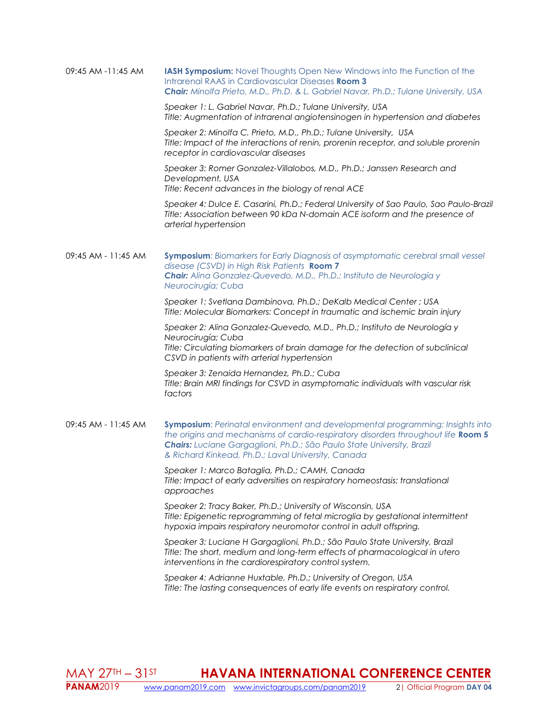| 09:45 AM -11:45 AM | <b>IASH Symposium:</b> Novel Thoughts Open New Windows into the Function of the             |
|--------------------|---------------------------------------------------------------------------------------------|
|                    | Intrarenal RAAS in Cardiovascular Diseases <b>Room 3</b>                                    |
|                    | <b>Chair:</b> Minolfa Prieto, M.D., Ph.D. & L. Gabriel Navar, Ph.D.; Tulane University, USA |

*Speaker 1: L. Gabriel Navar, Ph.D.; Tulane University, USA Title: Augmentation of intrarenal angiotensinogen in hypertension and diabetes*

*Speaker 2: Minolfa C. Prieto, M.D., Ph.D.; Tulane University, USA Title: Impact of the interactions of renin, prorenin receptor, and soluble prorenin receptor in cardiovascular diseases*

*Speaker 3: Romer Gonzalez-Villalobos, M.D., Ph.D.; Janssen Research and Development, USA Title: Recent advances in the biology of renal ACE*

*Speaker 4: Dulce E. Casarini, Ph.D.; Federal University of Sao Paulo, Sao Paulo-Brazil Title: Association between 90 kDa N-domain ACE isoform and the presence of arterial hypertension*

09:45 AM - 11:45 AM **Symposium**: *Biomarkers for Early Diagnosis of asymptomatic cerebral small vessel disease (CSVD) in High Risk Patients* **Room 7** *Chair: Alina Gonzalez-Quevedo, M.D., Ph.D.; Instituto de Neurología y Neurocirugía; Cuba*

> *Speaker 1: Svetlana Dambinova, Ph.D.; DeKalb Medical Center ; USA Title: Molecular Biomarkers: Concept in traumatic and ischemic brain injury*

*Speaker 2: Alina Gonzalez-Quevedo, M.D., Ph.D.; Instituto de Neurología y Neurocirugía; Cuba Title: Circulating biomarkers of brain damage for the detection of subclinical CSVD in patients with arterial hypertension*

*Speaker 3: Zenaida Hernandez, Ph.D.; Cuba Title: Brain MRI findings for CSVD in asymptomatic individuals with vascular risk factors*

09:45 AM - 11:45 AM **Symposium**: *Perinatal environment and developmental programming: Insights into the origins and mechanisms of cardio-respiratory disorders throughout life* **Room 5** *Chairs: Luciane Gargaglioni, Ph.D.; São Paulo State University, Brazil & Richard Kinkead, Ph.D.; Laval University, Canada*

> *Speaker 1: Marco Bataglia, Ph.D.; CAMH, Canada Title: Impact of early adversities on respiratory homeostasis: translational approaches*

*Speaker 2: Tracy Baker, Ph.D.; University of Wisconsin, USA Title: Epigenetic reprogramming of fetal microglia by gestational intermittent hypoxia impairs respiratory neuromotor control in adult offspring.*

*Speaker 3: Luciane H Gargaglioni, Ph.D.; São Paulo State University, Brazil Title: The short, medium and long-term effects of pharmacological in utero interventions in the cardiorespiratory control system.*

*Speaker 4: Adrianne Huxtable, Ph.D.; University of Oregon, USA Title: The lasting consequences of early life events on respiratory control.*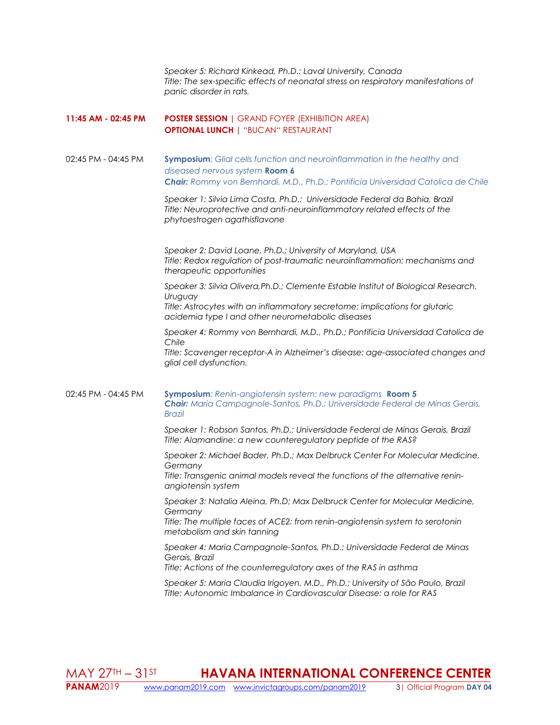*Speaker 5: Richard Kinkead, Ph.D.; Laval University, Canada Title: The sex-specific effects of neonatal stress on respiratory manifestations of panic disorder in rats.*

## **11:45 AM - 02:45 PM POSTER SESSION |** GRAND FOYER (EXHIBITION AREA) **OPTIONAL LUNCH |** "BUCAN" RESTAURANT

02:45 PM - 04:45 PM **Symposium**: *Glial cells function and neuroinflammation in the healthy and diseased nervous system* **Room 6** *Chair: Rommy von Bernhardi, M.D., Ph.D.; Pontificia Universidad Catolica de Chile*

> *Speaker 1: Silvia Lima Costa, Ph.D.; Universidade Federal da Bahia, Brazil Title: Neuroprotective and anti-neuroinflammatory related effects of the phytoestrogen agathisflavone*

*Speaker 2: David Loane, Ph.D.; University of Maryland, USA Title: Redox regulation of post-traumatic neuroinflammation: mechanisms and therapeutic opportunities*

*Speaker 3: Silvia Olivera,Ph.D.; Clemente Estable Institut of Biological Research, Uruguay*

*Title: Astrocytes with an inflammatory secretome: implications for glutaric acidemia type I and other neurometabolic diseases*

*Speaker 4: Rommy von Bernhardi, M.D., Ph.D.; Pontificia Universidad Catolica de Chile*

*Title: Scavenger receptor-A in Alzheimer's disease: age-associated changes and glial cell dysfunction.*

02:45 PM - 04:45 PM **Symposium**: *Renin-angiotensin system: new paradigms* **Room 5** *Chair: Maria Campagnole-Santos, Ph.D.; Universidade Federal de Minas Gerais, Brazil*

> *Speaker 1: Robson Santos, Ph.D.; Universidade Federal de Minas Gerais, Brazil Title: Alamandine: a new counteregulatory peptide of the RAS?*

*Speaker 2: Michael Bader, Ph.D.; Max Delbruck Center For Molecular Medicine, Germany*

*Title: Transgenic animal models reveal the functions of the alternative reninangiotensin system*

*Speaker 3: Natalia Aleina, Ph.D; Max Delbruck Center for Molecular Medicine, Germany*

*Title: The multiple faces of ACE2: from renin-angiotensin system to serotonin metabolism and skin tanning*

*Speaker 4: Maria Campagnole-Santos, Ph.D.; Universidade Federal de Minas Gerais, Brazil*

*Title: Actions of the counterregulatory axes of the RAS in asthma*

*Speaker 5: Maria Claudia Irigoyen, M.D., Ph.D.; University of São Paulo, Brazil Title: Autonomic Imbalance in Cardiovascular Disease: a role for RAS*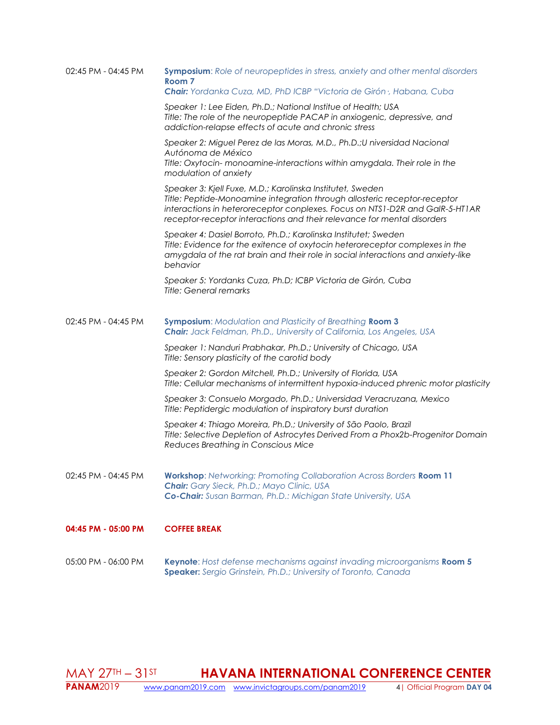| 02:45 PM - 04:45 PM | Symposium: Role of neuropeptides in stress, anxiety and other mental disorders<br>Room <sub>7</sub><br>Chair: Yordanka Cuza, MD, PhD ICBP "Victoria de Girón ; Habana, Cuba                                                                                                                        |
|---------------------|----------------------------------------------------------------------------------------------------------------------------------------------------------------------------------------------------------------------------------------------------------------------------------------------------|
|                     | Speaker 1: Lee Eiden, Ph.D.; National Institue of Health; USA<br>Title: The role of the neuropeptide PACAP in anxiogenic, depressive, and<br>addiction-relapse effects of acute and chronic stress                                                                                                 |
|                     | Speaker 2: Miguel Perez de las Moras, M.D., Ph.D.; Universidad Nacional<br>Autónoma de México<br>Title: Oxytocin- monoamine-interactions within amygdala. Their role in the<br>modulation of anxiety                                                                                               |
|                     | Speaker 3: Kjell Fuxe, M.D.; Karolinska Institutet, Sweden<br>Title: Peptide-Monoamine integration through allosteric receptor-receptor<br>interactions in heteroreceptor conplexes. Focus on NTS1-D2R and GalR-5-HT1AR<br>receptor-receptor interactions and their relevance for mental disorders |
|                     | Speaker 4: Dasiel Borroto, Ph.D.; Karolinska Institutet; Sweden<br>Title: Evidence for the exitence of oxytocin heteroreceptor complexes in the<br>amygdala of the rat brain and their role in social interactions and anxiety-like<br>behavior                                                    |
|                     | Speaker 5: Yordanks Cuza, Ph.D; ICBP Victoria de Girón, Cuba<br><b>Title: General remarks</b>                                                                                                                                                                                                      |
| 02:45 PM - 04:45 PM | <b>Symposium: Modulation and Plasticity of Breathing Room 3</b><br><b>Chair:</b> Jack Feldman, Ph.D., University of California, Los Angeles, USA                                                                                                                                                   |
|                     | Speaker 1: Nanduri Prabhakar, Ph.D.; University of Chicago, USA<br>Title: Sensory plasticity of the carotid body                                                                                                                                                                                   |
|                     | Speaker 2: Gordon Mitchell, Ph.D.; University of Florida, USA<br>Title: Cellular mechanisms of intermittent hypoxia-induced phrenic motor plasticity                                                                                                                                               |
|                     | Speaker 3: Consuelo Morgado, Ph.D.; Universidad Veracruzana, Mexico<br>Title: Peptidergic modulation of inspiratory burst duration                                                                                                                                                                 |
|                     | Speaker 4: Thiago Moreira, Ph.D.; University of São Paolo, Brazil<br>Title: Selective Depletion of Astrocytes Derived From a Phox2b-Progenitor Domain<br>Reduces Breathing in Conscious Mice                                                                                                       |
| 02:45 PM - 04:45 PM | <b>Workshop:</b> Networking: Promoting Collaboration Across Borders Room 11<br>Chair: Gary Sieck, Ph.D.; Mayo Clinic, USA<br>Co-Chair: Susan Barman, Ph.D.: Michigan State University, USA                                                                                                         |
| 04:45 PM - 05:00 PM | <b>COFFEE BREAK</b>                                                                                                                                                                                                                                                                                |
| 05:00 PM - 06:00 PM | Keynote: Host defense mechanisms against invading microorganisms Room 5<br>Speaker: Sergio Grinstein, Ph.D.; University of Toronto, Canada                                                                                                                                                         |

**MAY 27TH – 31ST**<br>**PANAM**2019 WWW  **HAVANA INTERNATIONAL CONFERENCE CENTER PANAM**2019 [www.panam2019.com](http://www.panam2019.com/) [www.invictagroups.com/panam2019](http://www.invictagroups.com/panam2019) 4| Official Program **DAY 04**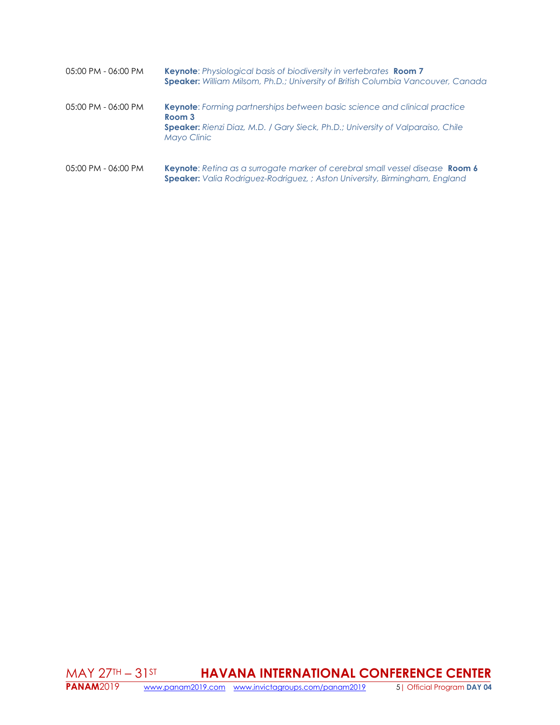| 05:00 PM - 06:00 PM | <b>Keynote:</b> Physiological basis of biodiversity in vertebrates <b>Room 7</b><br><b>Speaker:</b> William Milsom, Ph.D.; University of British Columbia Vancouver, Canada                                |
|---------------------|------------------------------------------------------------------------------------------------------------------------------------------------------------------------------------------------------------|
| 05:00 PM - 06:00 PM | <b>Keynote:</b> Forming partnerships between basic science and clinical practice<br>Room 3<br><b>Speaker:</b> Rienzi Diaz, M.D. / Gary Sieck, Ph.D.; University of Valparaiso, Chile<br><b>Mayo Clinic</b> |
| 05:00 PM - 06:00 PM | Keynote: Retina as a surrogate marker of cerebral small vessel disease Room 6                                                                                                                              |

**Speaker:** *Valia Rodriguez-Rodriguez, ; Aston University, Birmingham, England*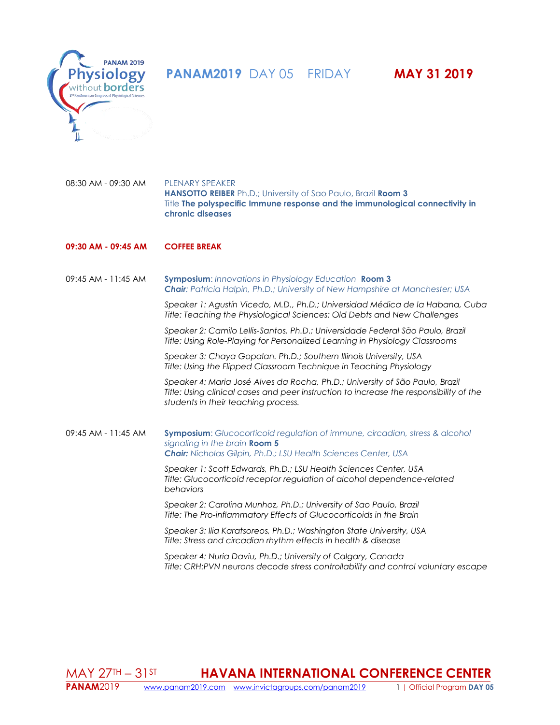**PANAM2019** DAY 05 FRIDAY **MAY 31 2019** 



08:30 AM - 09:30 AM PLENARY SPEAKER **HANSOTTO REIBER** Ph.D.; University of Sao Paulo, Brazil **Room 3** Title **The polyspecific Immune response and the immunological connectivity in chronic diseases**

# **09:30 AM - 09:45 AM COFFEE BREAK**

09:45 AM - 11:45 AM **Symposium**: *Innovations in Physiology Education* **Room 3** *Chair: Patricia Halpin, Ph.D.; University of New Hampshire at Manchester; USA*

*Speaker 1: Agustín Vicedo, M.D., Ph.D.; Universidad Médica de la Habana, Cuba Title: Teaching the Physiological Sciences: Old Debts and New Challenges*

*Speaker 2: Camilo Lellis-Santos, Ph.D.; Universidade Federal São Paulo, Brazil Title: Using Role-Playing for Personalized Learning in Physiology Classrooms*

*Speaker 3: Chaya Gopalan. Ph.D.; Southern Illinois University, USA Title: Using the Flipped Classroom Technique in Teaching Physiology*

*Speaker 4: Maria José Alves da Rocha, Ph.D.; University of São Paulo, Brazil Title: Using clinical cases and peer instruction to increase the responsibility of the students in their teaching process.* 

09:45 AM - 11:45 AM **Symposium**: *Glucocorticoid regulation of immune, circadian, stress & alcohol signaling in the brain* **Room 5** *Chair: Nicholas Gilpin, Ph.D.; LSU Health Sciences Center, USA*

> *Speaker 1: Scott Edwards, Ph.D.; LSU Health Sciences Center, USA Title: Glucocorticoid receptor regulation of alcohol dependence-related behaviors*

*Speaker 2: Carolina Munhoz, Ph.D.; University of Sao Paulo, Brazil Title: The Pro-inflammatory Effects of Glucocorticoids in the Brain*

*Speaker 3: Ilia Karatsoreos, Ph.D.; Washington State University, USA Title: Stress and circadian rhythm effects in health & disease*

*Speaker 4: Nuria Daviu, Ph.D.; University of Calgary, Canada Title: CRH:PVN neurons decode stress controllability and control voluntary escape*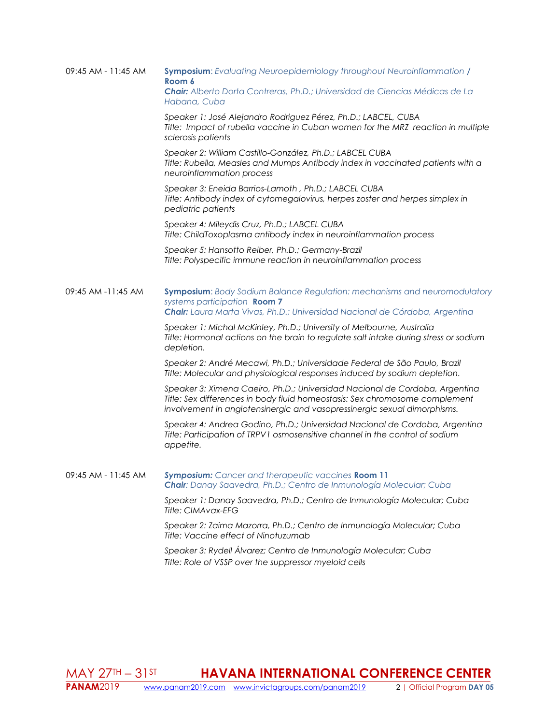| $09:45$ AM - 11:45 AM | <b>Symposium:</b> Evaluating Neuroepidemiology throughout Neuroinflammation /<br>Room 6                                                                                                                                                |
|-----------------------|----------------------------------------------------------------------------------------------------------------------------------------------------------------------------------------------------------------------------------------|
|                       | Chair: Alberto Dorta Contreras, Ph.D.; Universidad de Ciencias Médicas de La<br>Habana, Cuba                                                                                                                                           |
|                       | Speaker 1: José Alejandro Rodriguez Pérez, Ph.D.; LABCEL, CUBA<br>Title: Impact of rubella vaccine in Cuban women for the MRZ reaction in multiple<br>sclerosis patients                                                               |
|                       | Speaker 2: William Castillo-González, Ph.D.; LABCEL CUBA<br>Title: Rubella, Measles and Mumps Antibody index in vaccinated patients with a<br>neuroinflammation process                                                                |
|                       | Speaker 3: Eneida Barrios-Lamoth, Ph.D.; LABCEL CUBA<br>Title: Antibody index of cytomegalovirus, herpes zoster and herpes simplex in<br>pediatric patients                                                                            |
|                       | Speaker 4: Mileydis Cruz, Ph.D.; LABCEL CUBA<br>Title: ChildToxoplasma antibody index in neuroinflammation process                                                                                                                     |
|                       | Speaker 5: Hansotto Reiber, Ph.D.; Germany-Brazil<br>Title: Polyspecific immune reaction in neuroinflammation process                                                                                                                  |
| 09:45 AM -11:45 AM    | Symposium: Body Sodium Balance Regulation: mechanisms and neuromodulatory<br>systems participation Room 7<br>Chair: Laura Marta Vivas, Ph.D.; Universidad Nacional de Córdoba, Argentina                                               |
|                       | Speaker 1: Michal McKinley, Ph.D.; University of Melbourne, Australia<br>Title: Hormonal actions on the brain to regulate salt intake during stress or sodium<br>depletion.                                                            |
|                       | Speaker 2: André Mecawi, Ph.D.; Universidade Federal de São Paulo, Brazil<br>Title: Molecular and physiological responses induced by sodium depletion.                                                                                 |
|                       | Speaker 3: Ximena Caeiro, Ph.D.; Universidad Nacional de Cordoba, Argentina<br>Title: Sex differences in body fluid homeostasis: Sex chromosome complement<br>involvement in angiotensinergic and vasopressinergic sexual dimorphisms. |
|                       | Speaker 4: Andrea Godino, Ph.D.; Universidad Nacional de Cordoba, Argentina<br>Title: Participation of TRPV1 osmosensitive channel in the control of sodium<br>appetite.                                                               |
| 09:45 AM - 11:45 AM   | Symposium: Cancer and therapeutic vaccines Room 11<br>Chair: Danay Saavedra, Ph.D.; Centro de Inmunología Molecular; Cuba                                                                                                              |
|                       | Speaker 1: Danay Saavedra, Ph.D.; Centro de Inmunología Molecular; Cuba<br><b>Title: CIMAvax-EFG</b>                                                                                                                                   |
|                       | Speaker 2: Zaima Mazorra, Ph.D.; Centro de Inmunología Molecular; Cuba<br>Title: Vaccine effect of Ninotuzumab                                                                                                                         |
|                       | Speaker 3: Rydell Álvarez; Centro de Inmunología Molecular; Cuba<br>Title: Role of VSSP over the suppressor myeloid cells                                                                                                              |